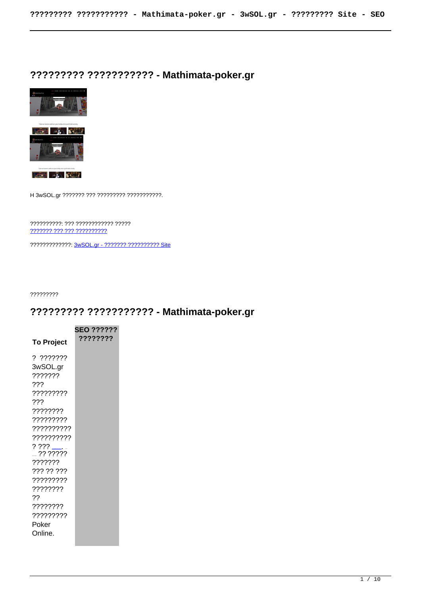## ????????? ??????????? - Mathimata-poker.gr



H 3wSOL.gr ??????? ??? ????????? ???????????.

## ?????????? ??? ???????????? ????? ??????? ??? ??? ??????????

????????????? 3wSOL.ar - ??????? ?????????? Site

?????????

## ????????? ??????????? - Mathimata-poker.gr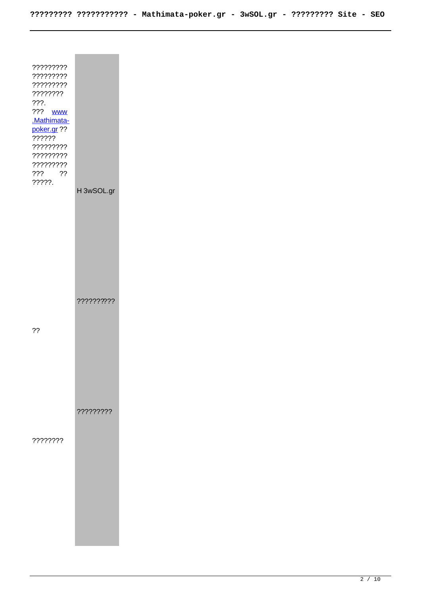| ?????????<br>?????????<br>?????????<br>????????<br>???.<br>??? <u>www</u><br>.Mathimata-<br>poker.gr ??<br>??????<br>?????????<br>?????????<br>?????????<br>???<br>??<br>?????. | H 3wSOL.gr |  |
|---------------------------------------------------------------------------------------------------------------------------------------------------------------------------------|------------|--|
| ??                                                                                                                                                                              | ?????????? |  |
| ????????                                                                                                                                                                        | ?????????  |  |
|                                                                                                                                                                                 |            |  |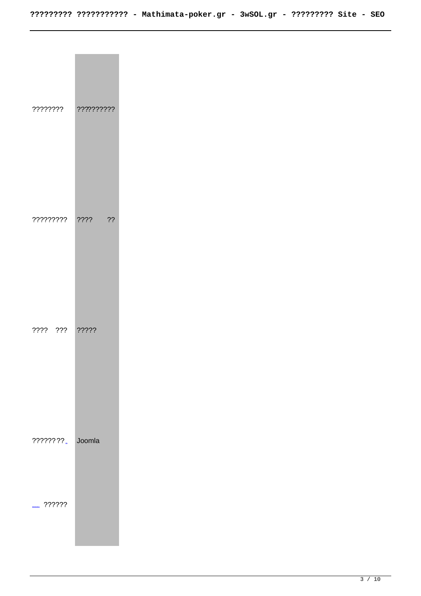| ????????  | ?????????? |  |
|-----------|------------|--|
| ????????? | ????<br>?? |  |
| ???? ???  | ?????      |  |
| ????????  | Joomla     |  |
| $-22222$  |            |  |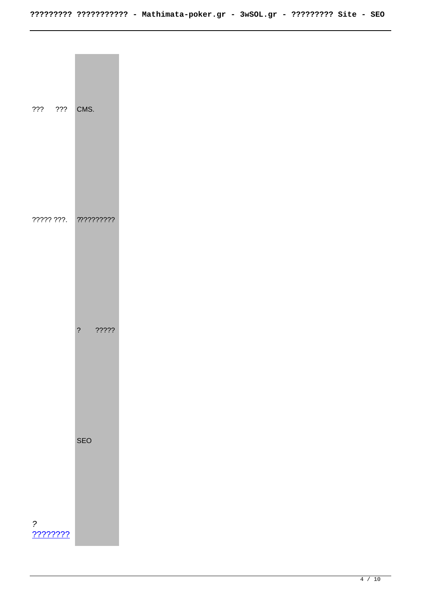| ???<br>???                           | CMS.                              |  |
|--------------------------------------|-----------------------------------|--|
| ????? ???.                           | ??????????                        |  |
|                                      | $\overline{\mathcal{E}}$<br>????? |  |
|                                      | <b>SEO</b>                        |  |
| $\overline{\mathcal{E}}$<br>???????? |                                   |  |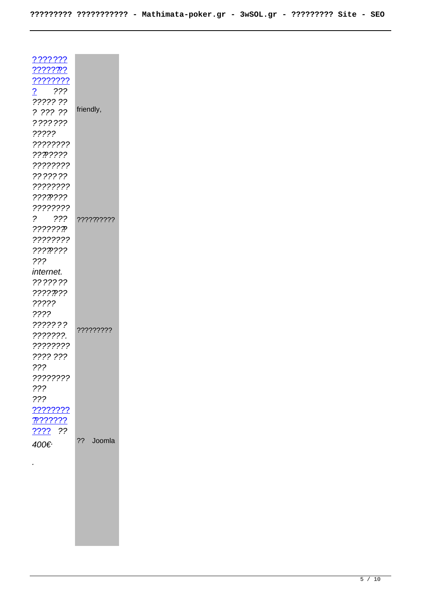| <u>???????</u><br>????????<br><u> ????????</u><br>$\overline{2}$<br>-222<br>????? ??<br>? ? ? ? ? ?<br>???????<br>?????<br>????????<br>??????? | friendly,    |  |
|------------------------------------------------------------------------------------------------------------------------------------------------|--------------|--|
| ????????<br>???????<br>????????<br>???????<br>????????<br>$\mathcal{P}$<br>222<br>????????<br>????????<br>???????<br>???<br>internet.          | ??????????   |  |
| ???????<br>???????<br>?????<br>????<br>???????<br>???????.<br>????????<br>???? ???<br>222<br>????????                                          | ?????????    |  |
| ???<br>???<br><u>????????</u><br>400€                                                                                                          | ??<br>Joomla |  |
|                                                                                                                                                |              |  |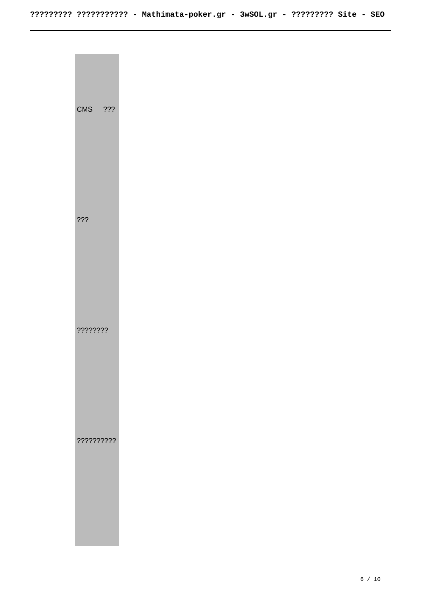| CMS ???    |  |
|------------|--|
| ???        |  |
| ????????   |  |
| ?????????? |  |
|            |  |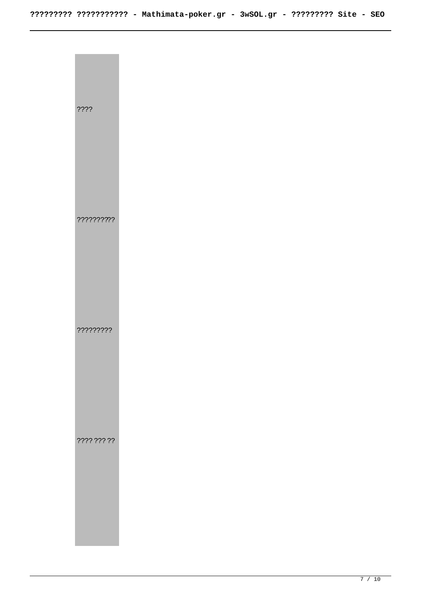| ????        |  |  |
|-------------|--|--|
| ??????????  |  |  |
| ?????????   |  |  |
| ???? ??? ?? |  |  |
|             |  |  |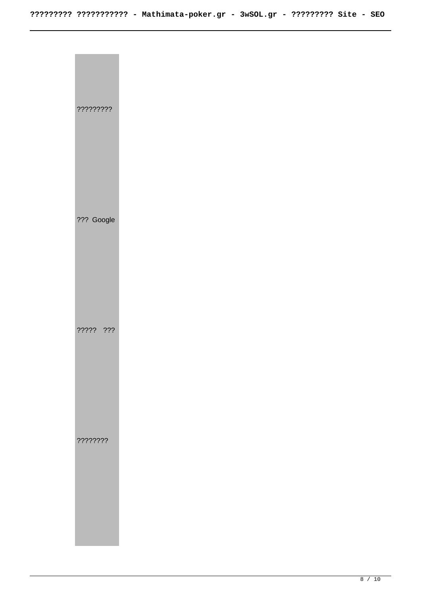| ?????????  |  |  |
|------------|--|--|
| ??? Google |  |  |
| ????? ???  |  |  |
| ????????   |  |  |
|            |  |  |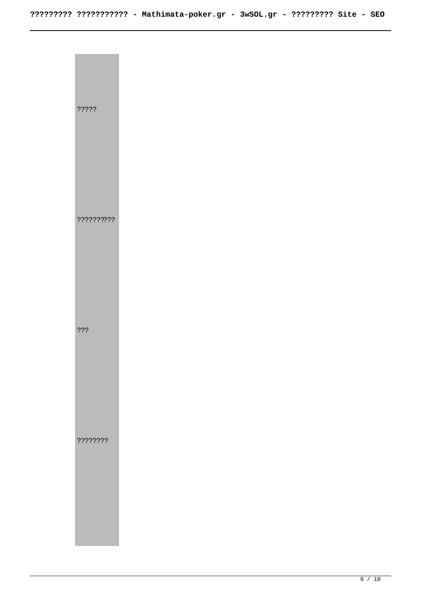| ?????      |  |  |  |
|------------|--|--|--|
| ?????????? |  |  |  |
| ???        |  |  |  |
| ????????   |  |  |  |
|            |  |  |  |